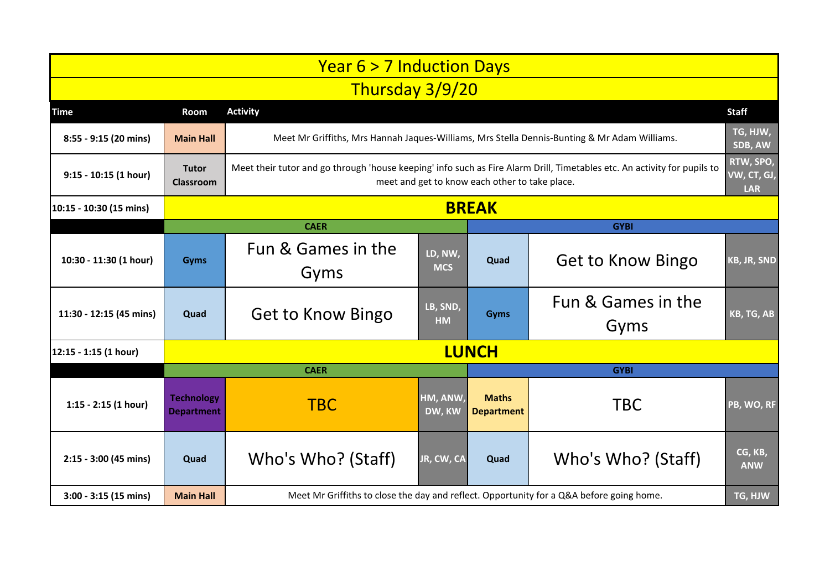| <b>Year 6 &gt; 7 Induction Days</b> |                                        |                                                                                                                                                                            |                       |                                   |                            |                       |  |  |  |  |  |
|-------------------------------------|----------------------------------------|----------------------------------------------------------------------------------------------------------------------------------------------------------------------------|-----------------------|-----------------------------------|----------------------------|-----------------------|--|--|--|--|--|
| Thursday 3/9/20                     |                                        |                                                                                                                                                                            |                       |                                   |                            |                       |  |  |  |  |  |
| <b>Time</b>                         | Room                                   | <b>Activity</b>                                                                                                                                                            |                       |                                   |                            | <b>Staff</b>          |  |  |  |  |  |
| 8:55 - 9:15 (20 mins)               | <b>Main Hall</b>                       | Meet Mr Griffiths, Mrs Hannah Jaques-Williams, Mrs Stella Dennis-Bunting & Mr Adam Williams.                                                                               |                       |                                   |                            |                       |  |  |  |  |  |
| 9:15 - 10:15 (1 hour)               | <b>Tutor</b><br><b>Classroom</b>       | Meet their tutor and go through 'house keeping' info such as Fire Alarm Drill, Timetables etc. An activity for pupils to<br>meet and get to know each other to take place. |                       |                                   |                            |                       |  |  |  |  |  |
| 10:15 - 10:30 (15 mins)             | <b>BREAK</b>                           |                                                                                                                                                                            |                       |                                   |                            |                       |  |  |  |  |  |
|                                     |                                        | <b>CAER</b>                                                                                                                                                                |                       |                                   | <b>GYBI</b>                |                       |  |  |  |  |  |
| 10:30 - 11:30 (1 hour)              | <b>Gyms</b>                            | Fun & Games in the<br>Gyms                                                                                                                                                 | LD, NW,<br><b>MCS</b> | Quad                              | Get to Know Bingo          | KB, JR, SND           |  |  |  |  |  |
| 11:30 - 12:15 (45 mins)             | Quad                                   | Get to Know Bingo                                                                                                                                                          | LB, SND,<br><b>HM</b> | Gyms                              | Fun & Games in the<br>Gyms | KB, TG, AB            |  |  |  |  |  |
| 12:15 - 1:15 (1 hour)               | <b>LUNCH</b>                           |                                                                                                                                                                            |                       |                                   |                            |                       |  |  |  |  |  |
|                                     |                                        | <b>CAER</b>                                                                                                                                                                |                       | <b>GYBI</b>                       |                            |                       |  |  |  |  |  |
| $1:15 - 2:15$ (1 hour)              | <b>Technology</b><br><b>Department</b> | <b>TBC</b>                                                                                                                                                                 | HM, ANW,<br>DW, KW    | <b>Maths</b><br><b>Department</b> | <b>TBC</b>                 | PB, WO, RF            |  |  |  |  |  |
| 2:15 - 3:00 (45 mins)               | Quad                                   | Who's Who? (Staff)                                                                                                                                                         | JR, CW, CA            | Quad                              | Who's Who? (Staff)         | CG, KB,<br><b>ANW</b> |  |  |  |  |  |
| $3:00 - 3:15(15 \text{ mins})$      | <b>Main Hall</b>                       | Meet Mr Griffiths to close the day and reflect. Opportunity for a Q&A before going home.                                                                                   |                       |                                   |                            |                       |  |  |  |  |  |